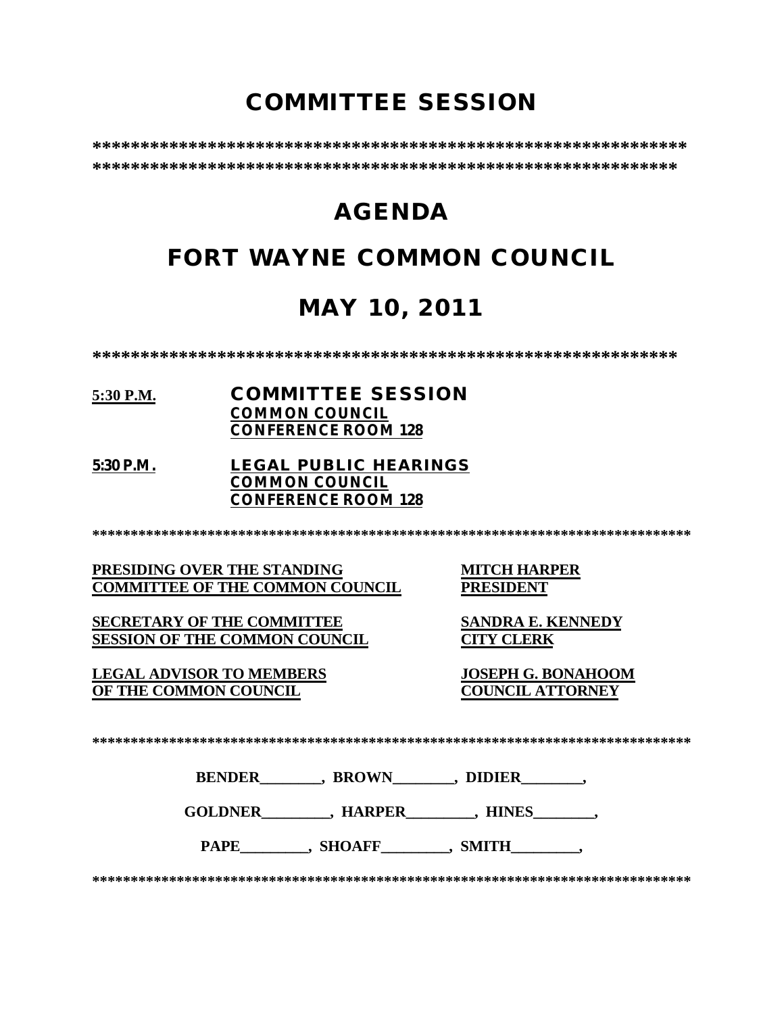# **COMMITTEE SESSION**

**\*\*\*\*\*\*\*\*\*\*\*\*\*\*\*\*\*\*\*\*\*\*\*\*\*\*\*\*\*\*\*\*\*\*\*\*\*\*\*\*\*\*\*\*\*\*\*\*\*\*\*\*\*\*\*\*\*\*\*\*\*\* \*\*\*\*\*\*\*\*\*\*\*\*\*\*\*\*\*\*\*\*\*\*\*\*\*\*\*\*\*\*\*\*\*\*\*\*\*\*\*\*\*\*\*\*\*\*\*\*\*\*\*\*\*\*\*\*\*\*\*\*\***

# **AGENDA**

# **FORT WAYNE COMMON COUNCIL**

# **MAY 10, 2011**

**\*\*\*\*\*\*\*\*\*\*\*\*\*\*\*\*\*\*\*\*\*\*\*\*\*\*\*\*\*\*\*\*\*\*\*\*\*\*\*\*\*\*\*\*\*\*\*\*\*\*\*\*\*\*\*\*\*\*\*\*\***

## **5:30 P.M. COMMITTEE SESSION COMMON COUNCIL CONFERENCE ROOM 128**

### **5:30 P.M. LEGAL PUBLIC HEARINGS COMMON COUNCIL CONFERENCE ROOM 128**

**\*\*\*\*\*\*\*\*\*\*\*\*\*\*\*\*\*\*\*\*\*\*\*\*\*\*\*\*\*\*\*\*\*\*\*\*\*\*\*\*\*\*\*\*\*\*\*\*\*\*\*\*\*\*\*\*\*\*\*\*\*\*\*\*\*\*\*\*\*\*\*\*\*\*\*\*\*\***

**PRESIDING OVER THE STANDING MITCH HARPER<br>
COMMITTEE OF THE COMMON COUNCIL PRESIDENT COMMITTEE OF THE COMMON COUNCIL** 

**SECRETARY OF THE COMMITTEE SANDRA E. KENNEDY SESSION OF THE COMMON COUNCIL CITY CLERK**

**LEGAL ADVISOR TO MEMBERS JOSEPH G. BONAHOOM OF THE COMMON COUNCIL** 

**\*\*\*\*\*\*\*\*\*\*\*\*\*\*\*\*\*\*\*\*\*\*\*\*\*\*\*\*\*\*\*\*\*\*\*\*\*\*\*\*\*\*\*\*\*\*\*\*\*\*\*\*\*\*\*\*\*\*\*\*\*\*\*\*\*\*\*\*\*\*\*\*\*\*\*\*\*\***

**BENDER\_\_\_\_\_\_\_\_, BROWN\_\_\_\_\_\_\_\_, DIDIER\_\_\_\_\_\_\_\_,** 

GOLDNER , HARPER , HINES

PAPE . SHOAFF . SMITH

**\*\*\*\*\*\*\*\*\*\*\*\*\*\*\*\*\*\*\*\*\*\*\*\*\*\*\*\*\*\*\*\*\*\*\*\*\*\*\*\*\*\*\*\*\*\*\*\*\*\*\*\*\*\*\*\*\*\*\*\*\*\*\*\*\*\*\*\*\*\*\*\*\*\*\*\*\*\***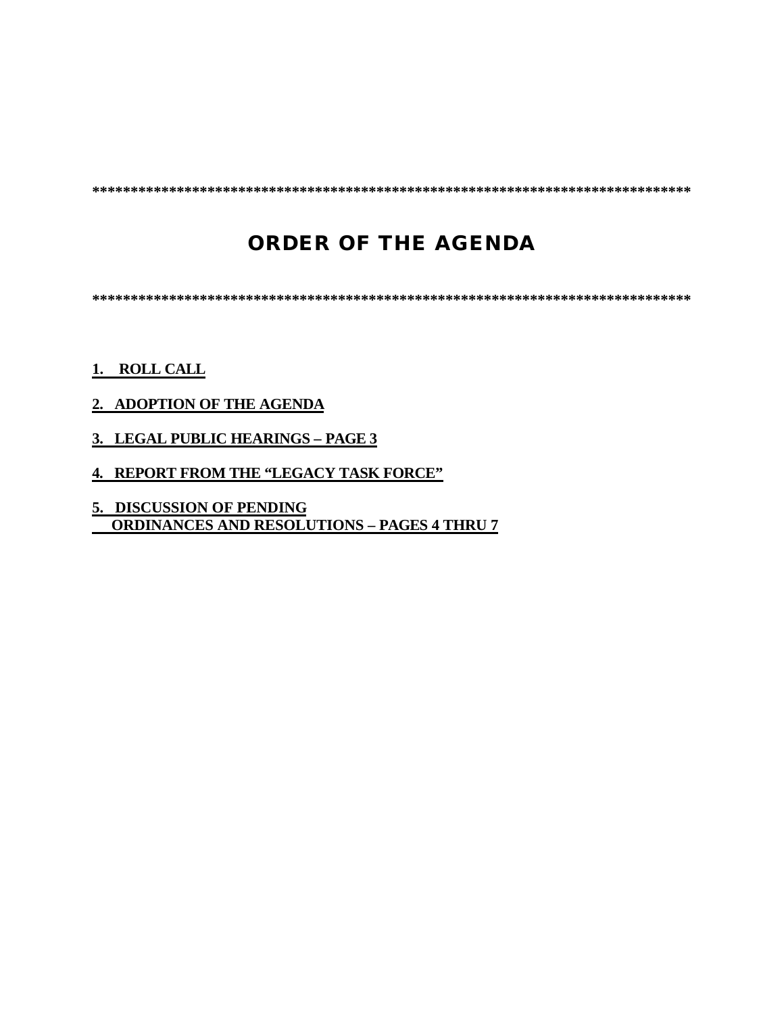**\*\*\*\*\*\*\*\*\*\*\*\*\*\*\*\*\*\*\*\*\*\*\*\*\*\*\*\*\*\*\*\*\*\*\*\*\*\*\*\*\*\*\*\*\*\*\*\*\*\*\*\*\*\*\*\*\*\*\*\*\*\*\*\*\*\*\*\*\*\*\*\*\*\*\*\*\*\***

# **ORDER OF THE AGENDA**

**\*\*\*\*\*\*\*\*\*\*\*\*\*\*\*\*\*\*\*\*\*\*\*\*\*\*\*\*\*\*\*\*\*\*\*\*\*\*\*\*\*\*\*\*\*\*\*\*\*\*\*\*\*\*\*\*\*\*\*\*\*\*\*\*\*\*\*\*\*\*\*\*\*\*\*\*\*\***

## **1. ROLL CALL**

## **2. ADOPTION OF THE AGENDA**

- **3. LEGAL PUBLIC HEARINGS PAGE 3**
- **4. REPORT FROM THE "LEGACY TASK FORCE"**

**5. DISCUSSION OF PENDING ORDINANCES AND RESOLUTIONS – PAGES 4 THRU 7**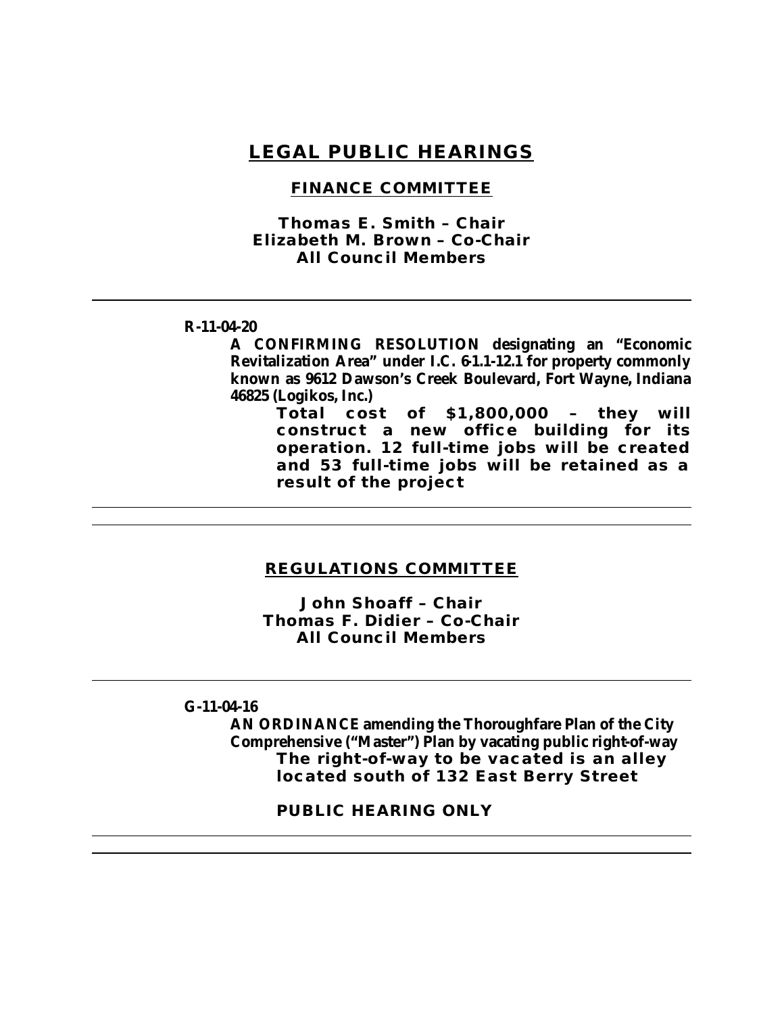## **LEGAL PUBLIC HEARINGS**

### **FINANCE COMMITTEE**

*Thomas E. Smith – Chair Elizabeth M. Brown – Co-Chair All Council Members*

#### **R-11-04-20**

**A CONFIRMING RESOLUTION designating an "Economic Revitalization Area" under I.C. 61.1-12.1 for property commonly known as 9612 Dawson's Creek Boulevard, Fort Wayne, Indiana 46825 (Logikos, Inc.)**

> **Total cost of \$1,800,000 – they will construct a new office building for its operation. 12 full-time jobs will be created and 53 full-time jobs will be retained as a result of the project**

### **REGULATIONS COMMITTEE**

*John Shoaff – Chair Thomas F. Didier – Co-Chair All Council Members*

### **G-11-04-16**

**AN ORDINANCE amending the Thoroughfare Plan of the City Comprehensive ("Master") Plan by vacating public right-of-way The right-of-way to be vacated is an alley located south of 132 East Berry Street** 

**PUBLIC HEARING ONLY**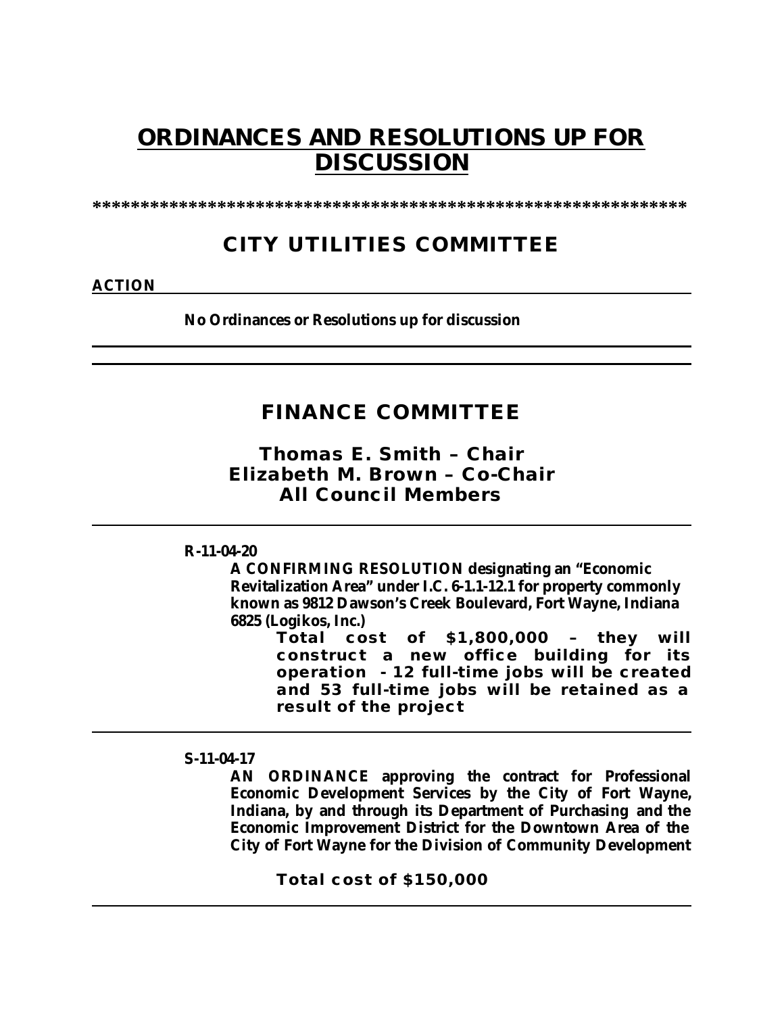# **ORDINANCES AND RESOLUTIONS UP FOR DISCUSSION**

**\*\*\*\*\*\*\*\*\*\*\*\*\*\*\*\*\*\*\*\*\*\*\*\*\*\*\*\*\*\*\*\*\*\*\*\*\*\*\*\*\*\*\*\*\*\*\*\*\*\*\*\*\*\*\*\*\*\*\*\*\*\***

## **CITY UTILITIES COMMITTEE**

**ACTION**

**No Ordinances or Resolutions up for discussion**

## **FINANCE COMMITTEE**

*Thomas E. Smith – Chair Elizabeth M. Brown – Co-Chair All Council Members*

**R-11-04-20**

**A CONFIRMING RESOLUTION designating an "Economic Revitalization Area" under I.C. 6-1.1-12.1 for property commonly known as 9812 Dawson's Creek Boulevard, Fort Wayne, Indiana 6825 (Logikos, Inc.)**

> **Total cost of \$1,800,000 – they will construct a new office building for its operation - 12 full-time jobs will be created and 53 full-time jobs will be retained as a result of the project**

**S-11-04-17**

**AN ORDINANCE approving the contract for Professional Economic Development Services by the City of Fort Wayne, Indiana, by and through its Department of Purchasing and the Economic Improvement District for the Downtown Area of the City of Fort Wayne for the Division of Community Development** 

**Total cost of \$150,000**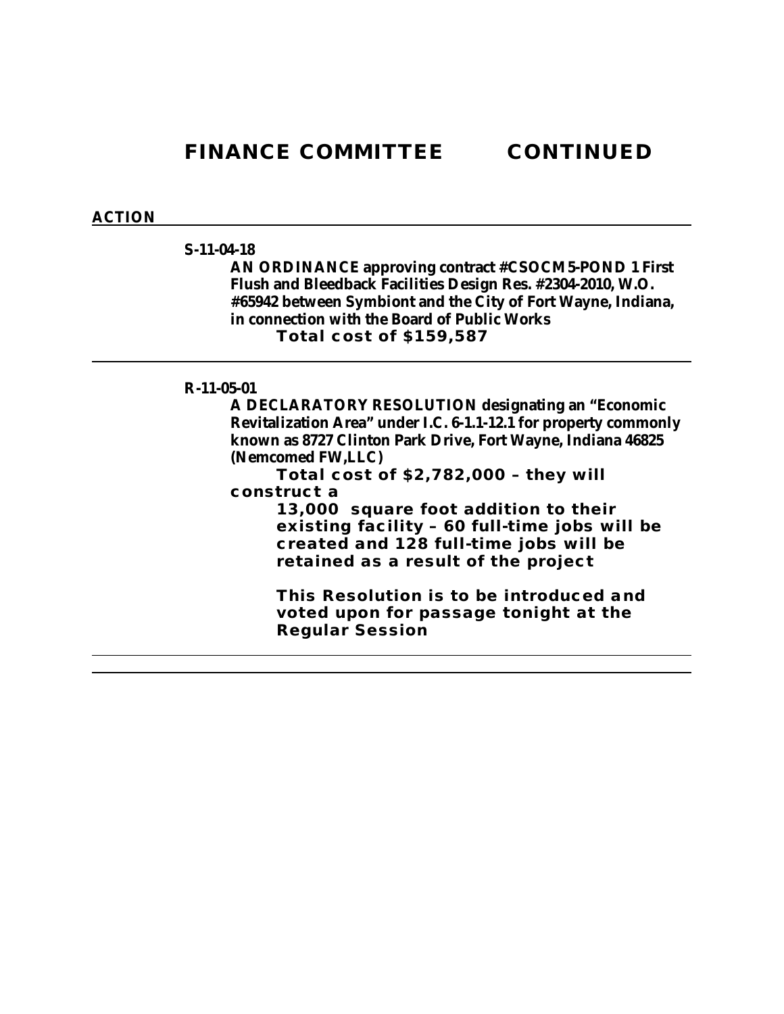**FINANCE COMMITTEE CONTINUED**

#### **ACTION**

### **S-11-04-18**

**AN ORDINANCE approving contract #CSOCM5-POND 1 First Flush and Bleedback Facilities Design Res. #2304-2010, W.O. #65942 between Symbiont and the City of Fort Wayne, Indiana, in connection with the Board of Public Works Total cost of \$159,587**

#### **R-11-05-01**

**A DECLARATORY RESOLUTION designating an "Economic Revitalization Area" under I.C. 6-1.1-12.1 for property commonly known as 8727 Clinton Park Drive, Fort Wayne, Indiana 46825 (Nemcomed FW,LLC)**

**Total cost of \$2,782,000 – they will construct a** 

> **13,000 square foot addition to their existing facility – 60 full-time jobs will be created and 128 full-time jobs will be retained as a result of the project**

**This Resolution is to be introduced and voted upon for passage tonight at the Regular Session**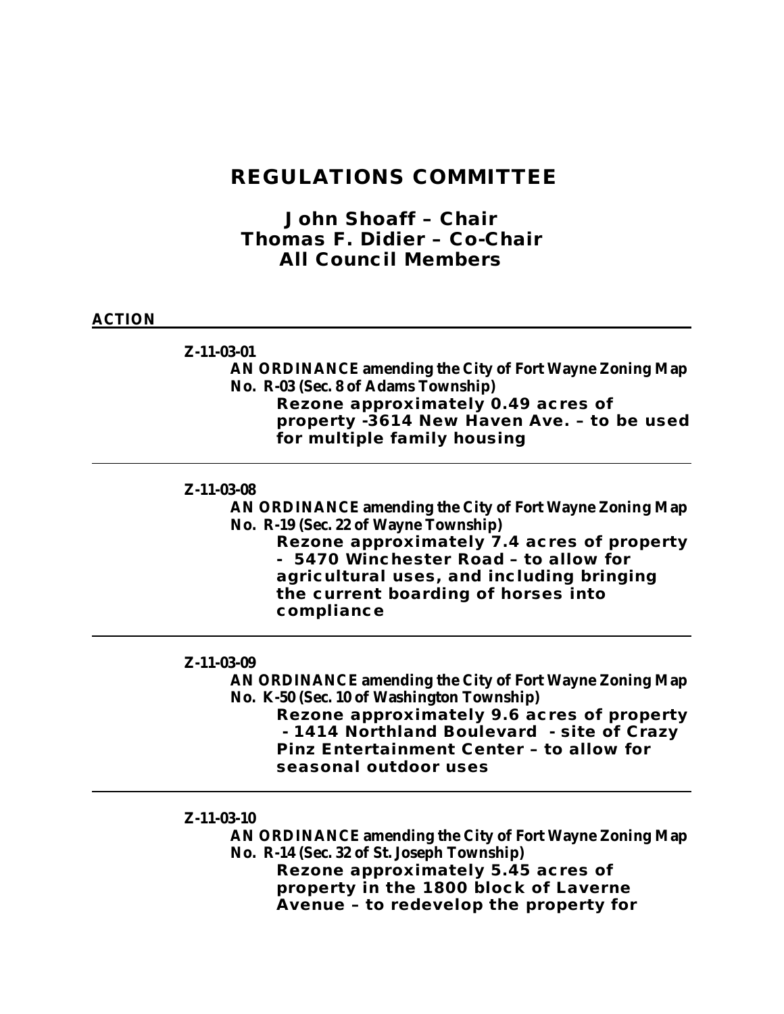## **REGULATIONS COMMITTEE**

## *John Shoaff – Chair Thomas F. Didier – Co-Chair All Council Members*

### **ACTION**

#### **Z-11-03-01**

**AN ORDINANCE amending the City of Fort Wayne Zoning Map No. R-03 (Sec. 8 of Adams Township) Rezone approximately 0.49 acres of property -3614 New Haven Ave. – to be used for multiple family housing**

#### **Z-11-03-08**

**AN ORDINANCE amending the City of Fort Wayne Zoning Map No. R-19 (Sec. 22 of Wayne Township)** 

**Rezone approximately 7.4 acres of property - 5470 Winchester Road – to allow for agricultural uses, and including bringing the current boarding of horses into compliance** 

#### **Z-11-03-09**

### **AN ORDINANCE amending the City of Fort Wayne Zoning Map No. K-50 (Sec. 10 of Washington Township)**

**Rezone approximately 9.6 acres of property - 1414 Northland Boulevard - site of Crazy Pinz Entertainment Center – to allow for seasonal outdoor uses**

**Z-11-03-10**

**AN ORDINANCE amending the City of Fort Wayne Zoning Map No. R-14 (Sec. 32 of St. Joseph Township) Rezone approximately 5.45 acres of property in the 1800 block of Laverne Avenue – to redevelop the property for**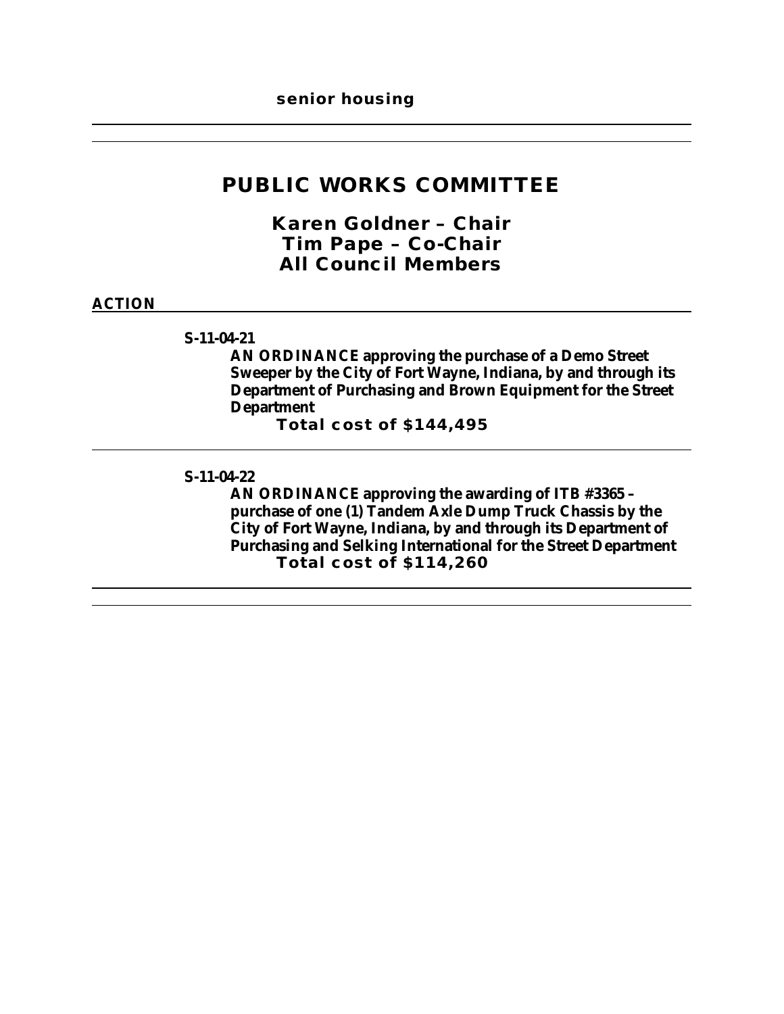## **PUBLIC WORKS COMMITTEE**

*Karen Goldner – Chair Tim Pape – Co-Chair All Council Members*

### **ACTION**

### **S-11-04-21**

**AN ORDINANCE approving the purchase of a Demo Street Sweeper by the City of Fort Wayne, Indiana, by and through its Department of Purchasing and Brown Equipment for the Street Department** 

**Total cost of \$144,495**

#### **S-11-04-22**

**AN ORDINANCE approving the awarding of ITB #3365 – purchase of one (1) Tandem Axle Dump Truck Chassis by the City of Fort Wayne, Indiana, by and through its Department of Purchasing and Selking International for the Street Department Total cost of \$114,260**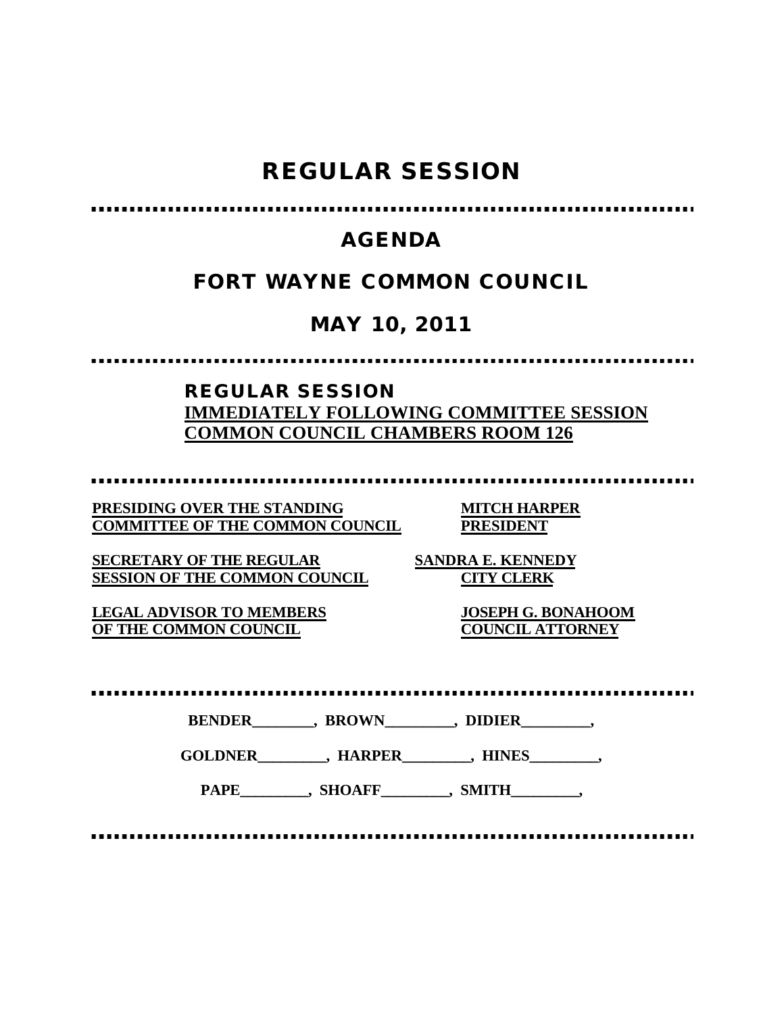# **REGULAR SESSION**

#### . . . . . . . . . .

## **AGENDA**

## **FORT WAYNE COMMON COUNCIL**

# **MAY 10, 2011**

## **REGULAR SESSION IMMEDIATELY FOLLOWING COMMITTEE SESSION COMMON COUNCIL CHAMBERS ROOM 126**

**PRESIDING OVER THE STANDING MITCH HARPER COMMITTEE OF THE COMMON COUNCIL PRESIDENT**

**SECRETARY OF THE REGULAR SANDRA E. KENNEDY SESSION OF THE COMMON COUNCIL CITY CLERK**

**LEGAL ADVISOR TO MEMBERS JOSEPH G. BONAHOOM OF THE COMMON COUNCIL** 

**BENDER\_\_\_\_\_\_\_\_, BROWN\_\_\_\_\_\_\_\_\_, DIDIER\_\_\_\_\_\_\_\_\_,**

**GOLDNER\_\_\_\_\_\_\_\_\_, HARPER\_\_\_\_\_\_\_\_\_, HINES\_\_\_\_\_\_\_\_\_,**

PAPE\_\_\_\_\_\_\_\_\_, SHOAFF\_\_\_\_\_\_\_\_, SMITH\_\_\_\_\_\_\_\_,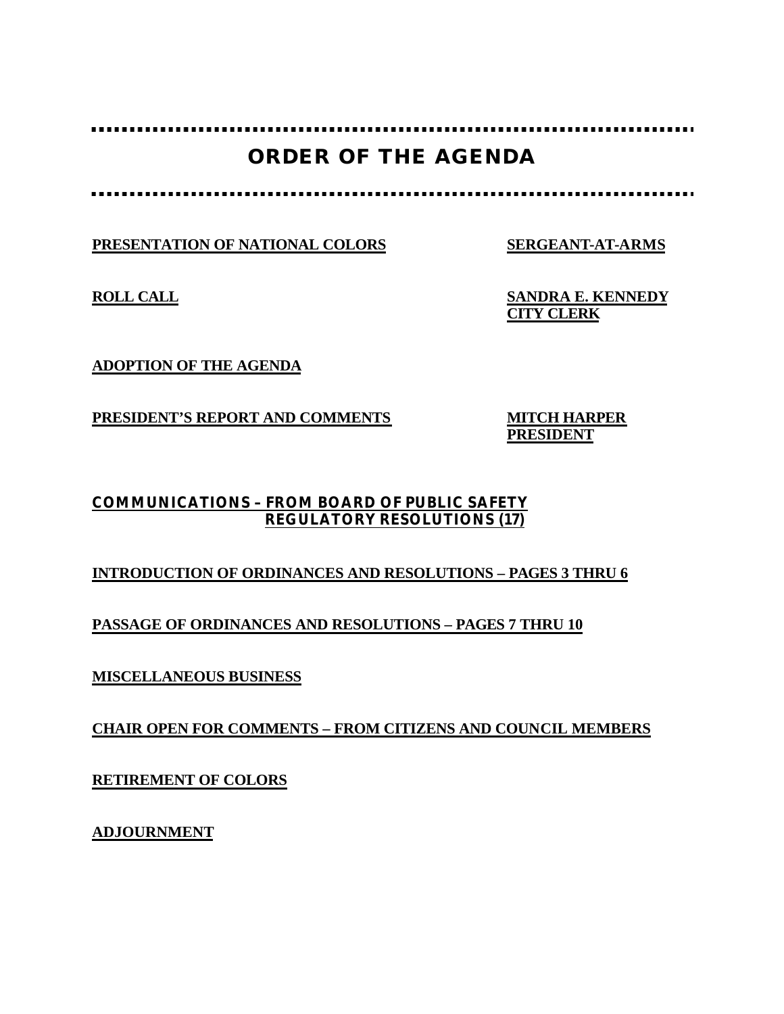# **ORDER OF THE AGENDA**

**PRESENTATION OF NATIONAL COLORS SERGEANT-AT-ARMS**

**ROLL CALL SANDRA E. KENNEDY CITY CLERK**

**ADOPTION OF THE AGENDA**

**PRESIDENT'S REPORT AND COMMENTS MITCH HARPER**

**PRESIDENT**

## **COMMUNICATIONS – FROM BOARD OF PUBLIC SAFETY REGULATORY RESOLUTIONS (17)**

## **INTRODUCTION OF ORDINANCES AND RESOLUTIONS – PAGES 3 THRU 6**

**PASSAGE OF ORDINANCES AND RESOLUTIONS – PAGES 7 THRU 10**

**MISCELLANEOUS BUSINESS**

**CHAIR OPEN FOR COMMENTS – FROM CITIZENS AND COUNCIL MEMBERS**

**RETIREMENT OF COLORS**

**ADJOURNMENT**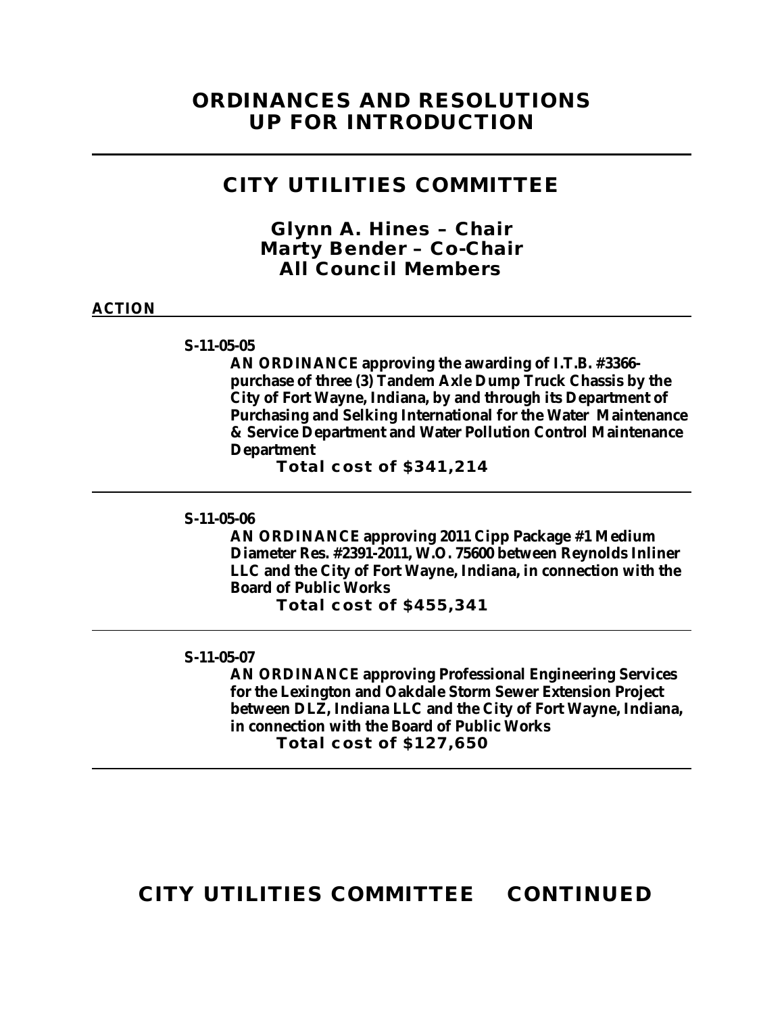## **CITY UTILITIES COMMITTEE**

*Glynn A. Hines – Chair Marty Bender – Co-Chair All Council Members*

### **ACTION**

#### **S-11-05-05**

**AN ORDINANCE approving the awarding of I.T.B. #3366 purchase of three (3) Tandem Axle Dump Truck Chassis by the City of Fort Wayne, Indiana, by and through its Department of Purchasing and Selking International for the Water Maintenance & Service Department and Water Pollution Control Maintenance Department**

**Total cost of \$341,214**

#### **S-11-05-06**

**AN ORDINANCE approving 2011 Cipp Package #1 Medium Diameter Res. #2391-2011, W.O. 75600 between Reynolds Inliner LLC and the City of Fort Wayne, Indiana, in connection with the Board of Public Works**

**Total cost of \$455,341**

#### **S-11-05-07**

**AN ORDINANCE approving Professional Engineering Services for the Lexington and Oakdale Storm Sewer Extension Project between DLZ, Indiana LLC and the City of Fort Wayne, Indiana, in connection with the Board of Public Works Total cost of \$127,650**

## **CITY UTILITIES COMMITTEE CONTINUED**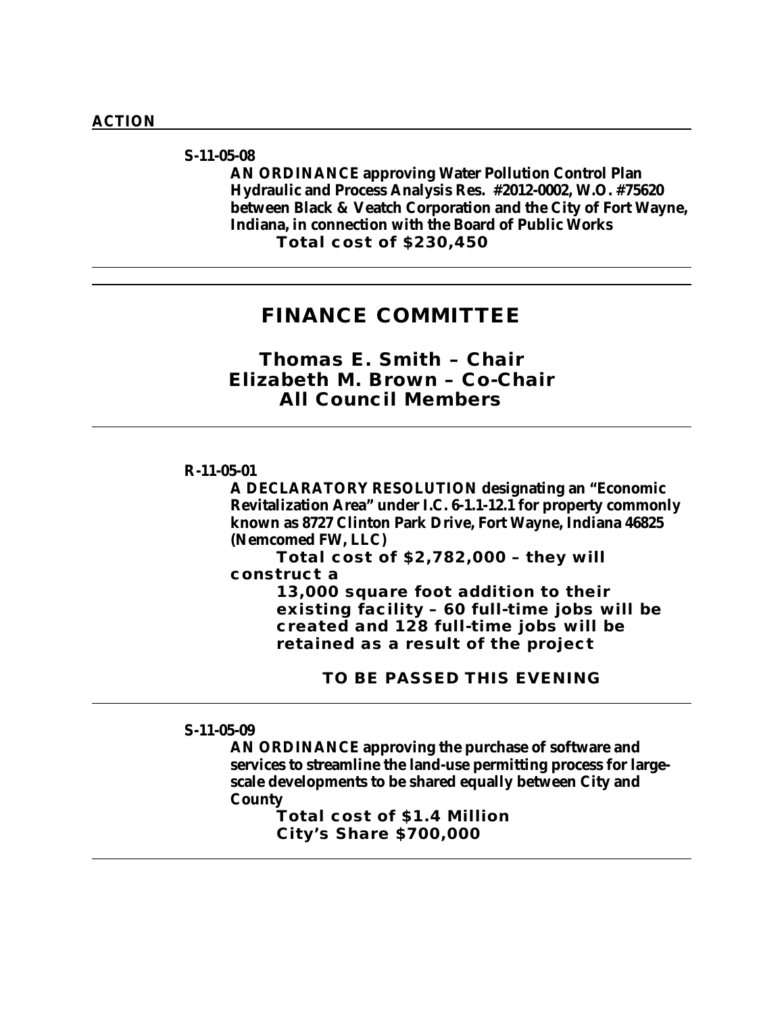### **S-11-05-08**

**AN ORDINANCE approving Water Pollution Control Plan Hydraulic and Process Analysis Res. #2012-0002, W.O. #75620 between Black & Veatch Corporation and the City of Fort Wayne, Indiana, in connection with the Board of Public Works Total cost of \$230,450**

## **FINANCE COMMITTEE**

*Thomas E. Smith – Chair Elizabeth M. Brown – Co-Chair All Council Members*

#### **R-11-05-01**

**A DECLARATORY RESOLUTION designating an "Economic Revitalization Area" under I.C. 6-1.1-12.1 for property commonly known as 8727 Clinton Park Drive, Fort Wayne, Indiana 46825 (Nemcomed FW, LLC)**

**Total cost of \$2,782,000 – they will construct a** 

> **13,000 square foot addition to their existing facility – 60 full-time jobs will be created and 128 full-time jobs will be retained as a result of the project**

> > **TO BE PASSED THIS EVENING**

#### **S-11-05-09**

**AN ORDINANCE approving the purchase of software and services to streamline the land-use permitting process for largescale developments to be shared equally between City and County** 

**Total cost of \$1.4 Million City's Share \$700,000**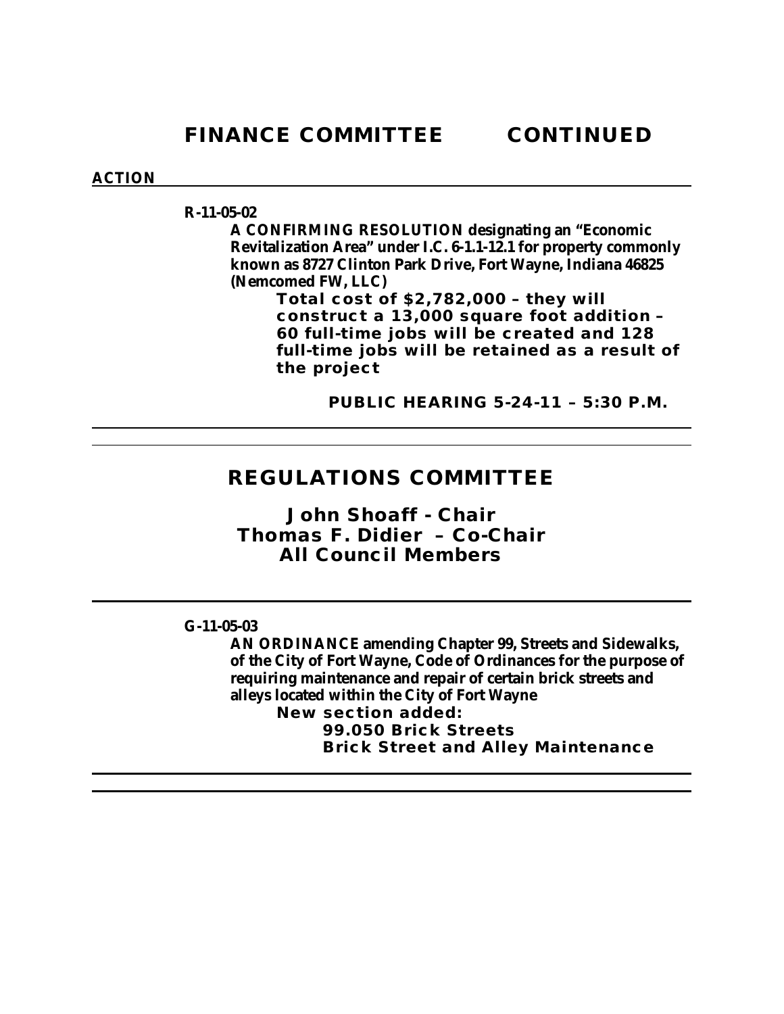### **ACTION**

**R-11-05-02**

**A CONFIRMING RESOLUTION designating an "Economic Revitalization Area" under I.C. 6-1.1-12.1 for property commonly known as 8727 Clinton Park Drive, Fort Wayne, Indiana 46825 (Nemcomed FW, LLC)**

**Total cost of \$2,782,000 – they will construct a 13,000 square foot addition – 60 full-time jobs will be created and 128 full-time jobs will be retained as a result of the project**

 **PUBLIC HEARING 5-24-11 – 5:30 P.M.**

## **REGULATIONS COMMITTEE**

*John Shoaff - Chair Thomas F. Didier – Co-Chair All Council Members*

### **G-11-05-03**

**AN ORDINANCE amending Chapter 99, Streets and Sidewalks, of the City of Fort Wayne, Code of Ordinances for the purpose of requiring maintenance and repair of certain brick streets and alleys located within the City of Fort Wayne New section added:**

**99.050 Brick Streets Brick Street and Alley Maintenance**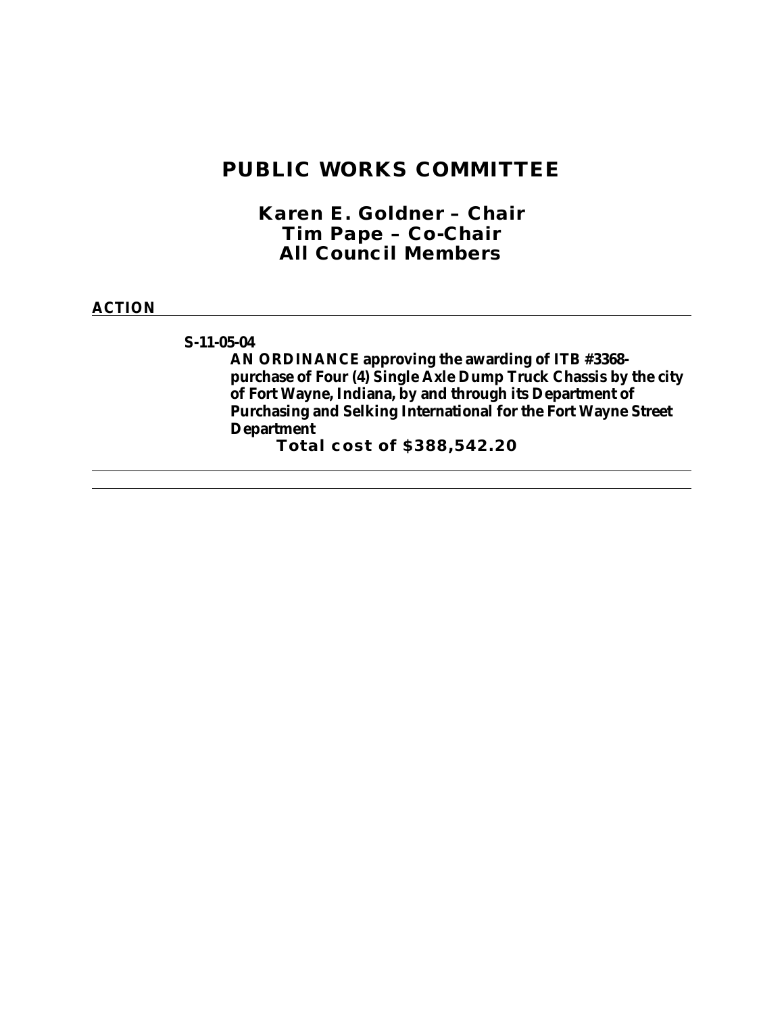## **PUBLIC WORKS COMMITTEE**

*Karen E. Goldner – Chair Tim Pape – Co-Chair All Council Members*

#### **ACTION**

### **S-11-05-04**

**AN ORDINANCE approving the awarding of ITB #3368 purchase of Four (4) Single Axle Dump Truck Chassis by the city of Fort Wayne, Indiana, by and through its Department of Purchasing and Selking International for the Fort Wayne Street Department**

**Total cost of \$388,542.20**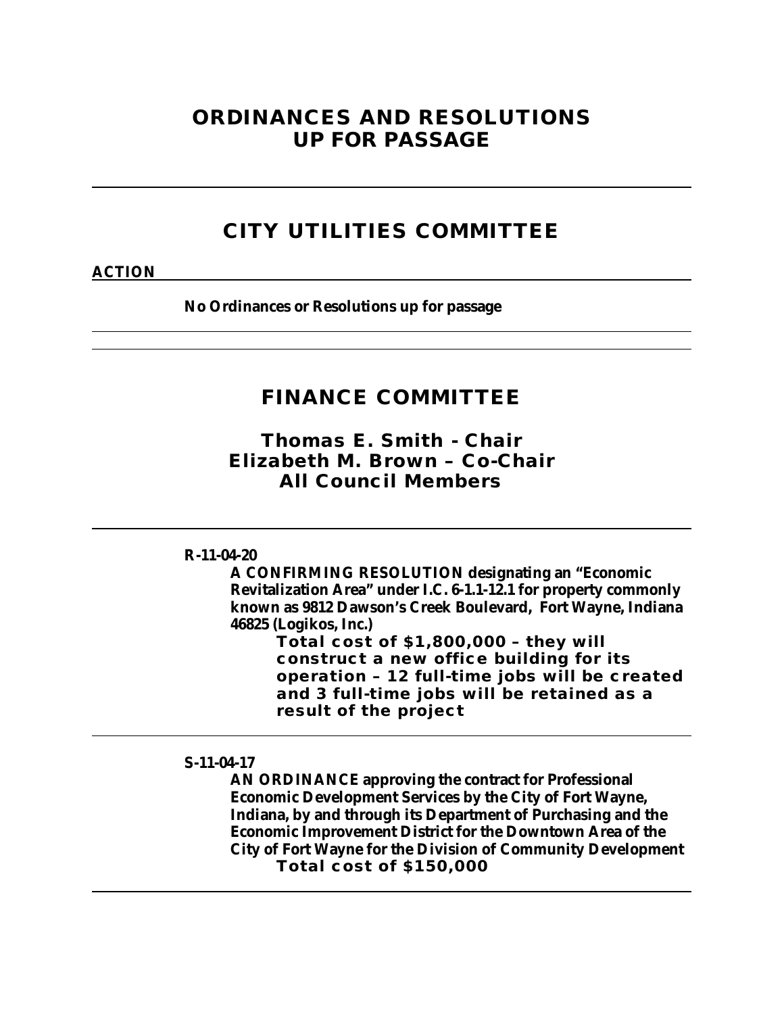## **ORDINANCES AND RESOLUTIONS UP FOR PASSAGE**

## **CITY UTILITIES COMMITTEE**

#### **ACTION**

**No Ordinances or Resolutions up for passage**

## **FINANCE COMMITTEE**

*Thomas E. Smith - Chair Elizabeth M. Brown – Co-Chair All Council Members*

#### **R-11-04-20**

**A CONFIRMING RESOLUTION designating an "Economic Revitalization Area" under I.C. 6-1.1-12.1 for property commonly known as 9812 Dawson's Creek Boulevard, Fort Wayne, Indiana 46825 (Logikos, Inc.)**

**Total cost of \$1,800,000 – they will construct a new office building for its operation – 12 full-time jobs will be created and 3 full-time jobs will be retained as a result of the project**

### **S-11-04-17**

**AN ORDINANCE approving the contract for Professional Economic Development Services by the City of Fort Wayne, Indiana, by and through its Department of Purchasing and the Economic Improvement District for the Downtown Area of the City of Fort Wayne for the Division of Community Development Total cost of \$150,000**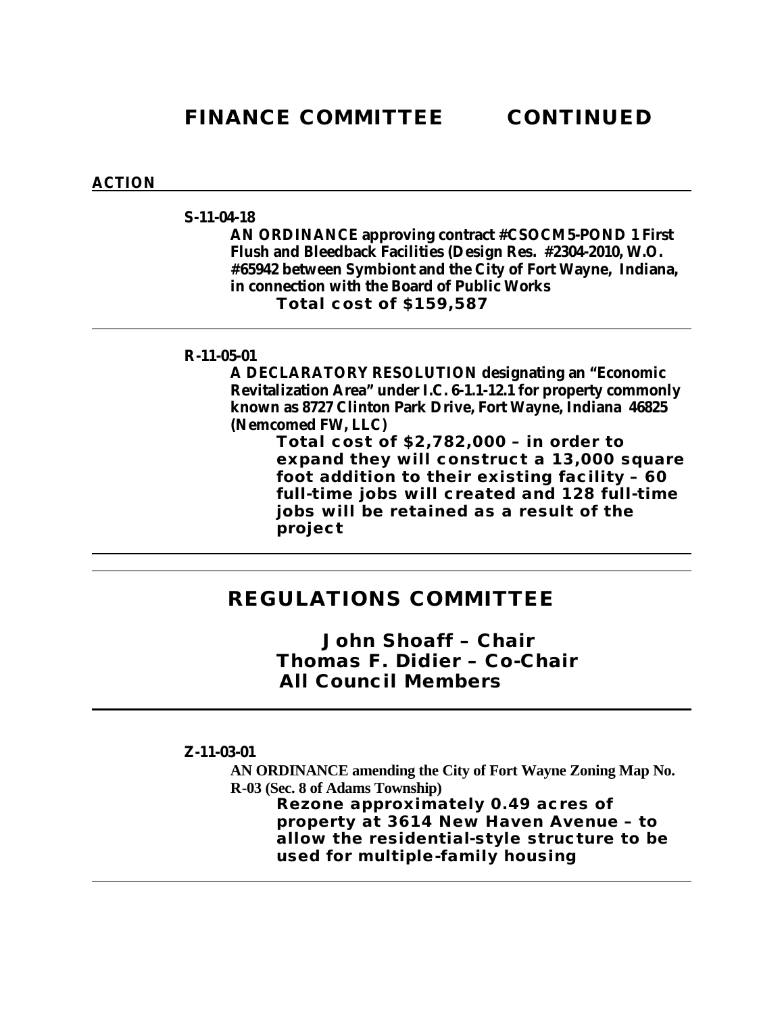### **ACTION**

#### **S-11-04-18**

**AN ORDINANCE approving contract #CSOCM5-POND 1 First Flush and Bleedback Facilities (Design Res. #2304-2010, W.O. #65942 between Symbiont and the City of Fort Wayne, Indiana, in connection with the Board of Public Works Total cost of \$159,587**

### **R-11-05-01**

**A DECLARATORY RESOLUTION designating an "Economic Revitalization Area" under I.C. 6-1.1-12.1 for property commonly known as 8727 Clinton Park Drive, Fort Wayne, Indiana 46825 (Nemcomed FW, LLC)**

**Total cost of \$2,782,000 – in order to expand they will construct a 13,000 square foot addition to their existing facility – 60 full-time jobs will created and 128 full-time jobs will be retained as a result of the project**

## **REGULATIONS COMMITTEE**

*John Shoaff – Chair Thomas F. Didier – Co-Chair All Council Members*

#### **Z-11-03-01**

**AN ORDINANCE amending the City of Fort Wayne Zoning Map No. R-03 (Sec. 8 of Adams Township) Rezone approximately 0.49 acres of property at 3614 New Haven Avenue – to allow the residential-style structure to be used for multiple-family housing**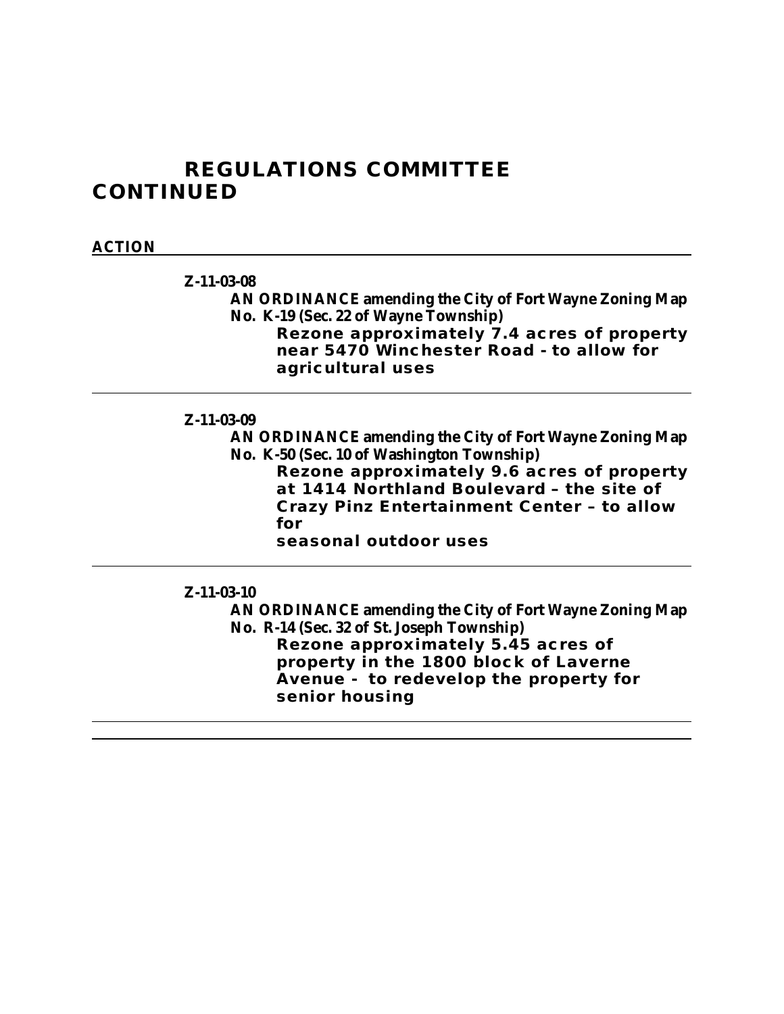## **REGULATIONS COMMITTEE CONTINUED**

### **ACTION**

**Z-11-03-08**

**AN ORDINANCE amending the City of Fort Wayne Zoning Map No. K-19 (Sec. 22 of Wayne Township)**

**Rezone approximately 7.4 acres of property near 5470 Winchester Road - to allow for agricultural uses**

### **Z-11-03-09**

**AN ORDINANCE amending the City of Fort Wayne Zoning Map No. K-50 (Sec. 10 of Washington Township)**

**Rezone approximately 9.6 acres of property at 1414 Northland Boulevard – the site of Crazy Pinz Entertainment Center – to allow for** 

**seasonal outdoor uses**

### **Z-11-03-10**

**AN ORDINANCE amending the City of Fort Wayne Zoning Map No. R-14 (Sec. 32 of St. Joseph Township) Rezone approximately 5.45 acres of property in the 1800 block of Laverne** 

**Avenue - to redevelop the property for senior housing**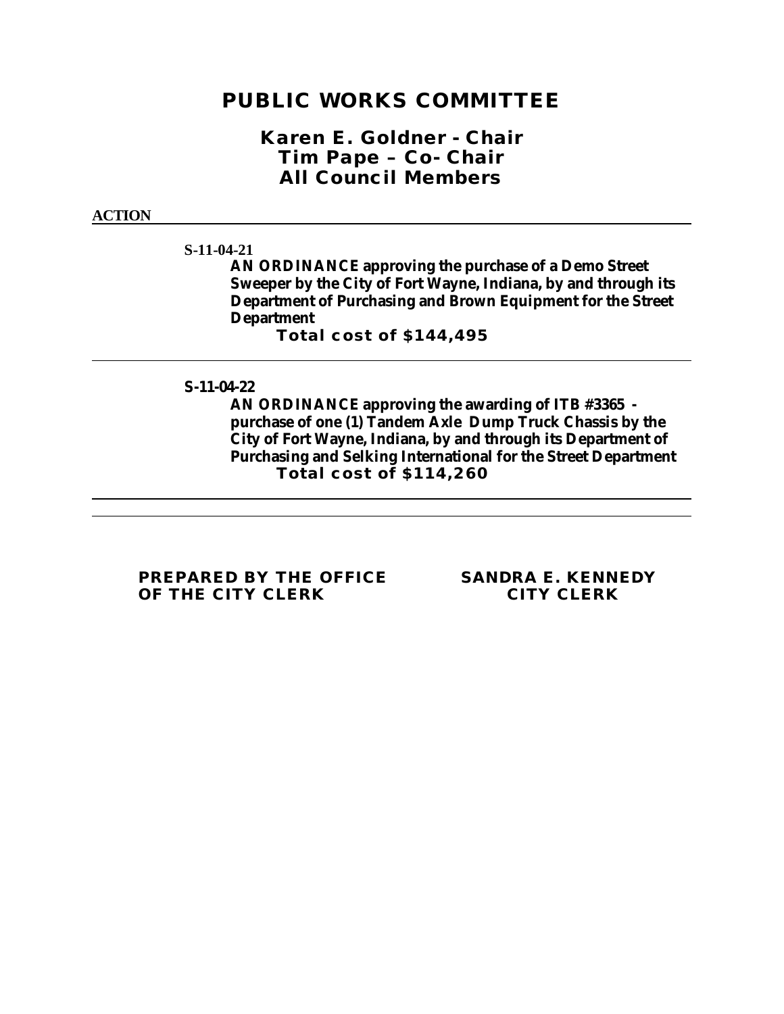## **PUBLIC WORKS COMMITTEE**

*Karen E. Goldner - Chair Tim Pape – Co- Chair All Council Members*

#### **ACTION**

**S-11-04-21**

**AN ORDINANCE approving the purchase of a Demo Street Sweeper by the City of Fort Wayne, Indiana, by and through its Department of Purchasing and Brown Equipment for the Street Department** 

**Total cost of \$144,495**

**S-11-04-22**

**AN ORDINANCE approving the awarding of ITB #3365 purchase of one (1) Tandem Axle Dump Truck Chassis by the City of Fort Wayne, Indiana, by and through its Department of Purchasing and Selking International for the Street Department Total cost of \$114,260**

**PREPARED BY THE OFFICE SANDRA E. KENNEDY OF THE CITY CLERK**